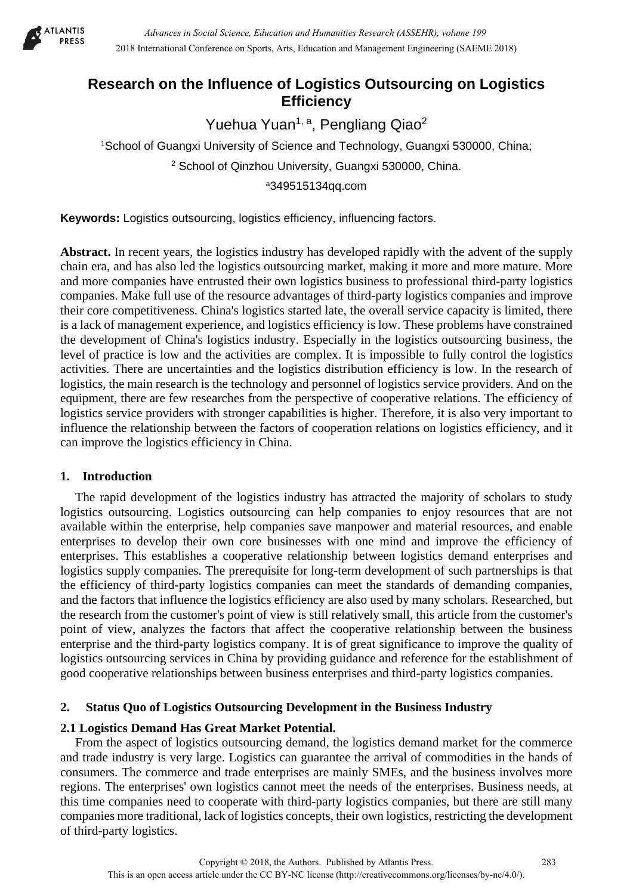

# **Research on the Influence of Logistics Outsourcing on Logistics Efficiency**

Yuehua Yuan<sup>1, a</sup>, Pengliang Qiao<sup>2</sup>

1School of Guangxi University of Science and Technology, Guangxi 530000, China; <sup>2</sup> School of Qinzhou University, Guangxi 530000, China. a349515134qq.com

**Keywords:** Logistics outsourcing, logistics efficiency, influencing factors.

**Abstract.** In recent years, the logistics industry has developed rapidly with the advent of the supply chain era, and has also led the logistics outsourcing market, making it more and more mature. More and more companies have entrusted their own logistics business to professional third-party logistics companies. Make full use of the resource advantages of third-party logistics companies and improve their core competitiveness. China's logistics started late, the overall service capacity is limited, there is a lack of management experience, and logistics efficiency is low. These problems have constrained the development of China's logistics industry. Especially in the logistics outsourcing business, the level of practice is low and the activities are complex. It is impossible to fully control the logistics activities. There are uncertainties and the logistics distribution efficiency is low. In the research of logistics, the main research is the technology and personnel of logistics service providers. And on the equipment, there are few researches from the perspective of cooperative relations. The efficiency of logistics service providers with stronger capabilities is higher. Therefore, it is also very important to influence the relationship between the factors of cooperation relations on logistics efficiency, and it can improve the logistics efficiency in China.

# **1. Introduction**

The rapid development of the logistics industry has attracted the majority of scholars to study logistics outsourcing. Logistics outsourcing can help companies to enjoy resources that are not available within the enterprise, help companies save manpower and material resources, and enable enterprises to develop their own core businesses with one mind and improve the efficiency of enterprises. This establishes a cooperative relationship between logistics demand enterprises and logistics supply companies. The prerequisite for long-term development of such partnerships is that the efficiency of third-party logistics companies can meet the standards of demanding companies, and the factors that influence the logistics efficiency are also used by many scholars. Researched, but the research from the customer's point of view is still relatively small, this article from the customer's point of view, analyzes the factors that affect the cooperative relationship between the business enterprise and the third-party logistics company. It is of great significance to improve the quality of logistics outsourcing services in China by providing guidance and reference for the establishment of good cooperative relationships between business enterprises and third-party logistics companies.

# **2. Status Quo of Logistics Outsourcing Development in the Business Industry**

# **2.1 Logistics Demand Has Great Market Potential.**

From the aspect of logistics outsourcing demand, the logistics demand market for the commerce and trade industry is very large. Logistics can guarantee the arrival of commodities in the hands of consumers. The commerce and trade enterprises are mainly SMEs, and the business involves more regions. The enterprises' own logistics cannot meet the needs of the enterprises. Business needs, at this time companies need to cooperate with third-party logistics companies, but there are still many companies more traditional, lack of logistics concepts, their own logistics, restricting the development of third-party logistics.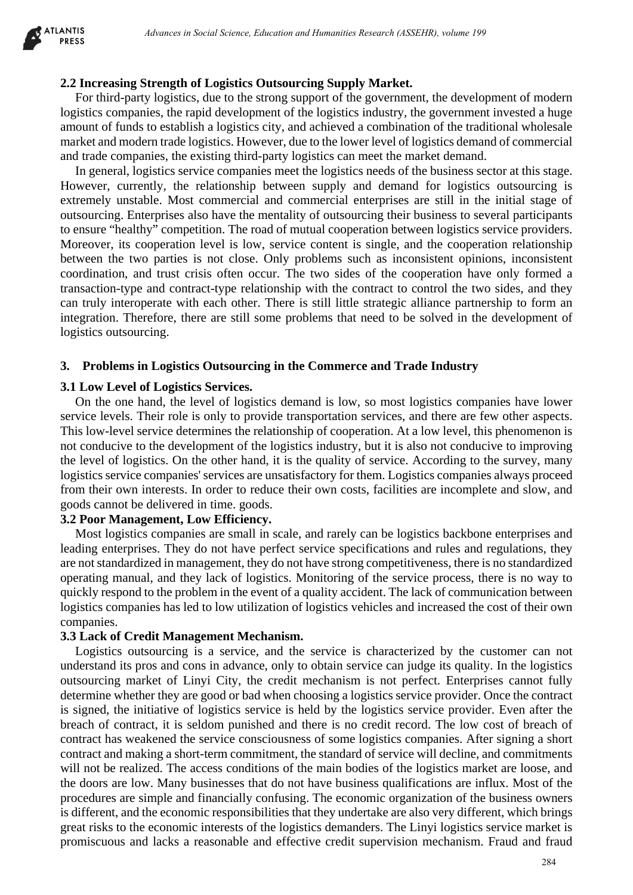

### **2.2 Increasing Strength of Logistics Outsourcing Supply Market.**

For third-party logistics, due to the strong support of the government, the development of modern logistics companies, the rapid development of the logistics industry, the government invested a huge amount of funds to establish a logistics city, and achieved a combination of the traditional wholesale market and modern trade logistics. However, due to the lower level of logistics demand of commercial and trade companies, the existing third-party logistics can meet the market demand.

In general, logistics service companies meet the logistics needs of the business sector at this stage. However, currently, the relationship between supply and demand for logistics outsourcing is extremely unstable. Most commercial and commercial enterprises are still in the initial stage of outsourcing. Enterprises also have the mentality of outsourcing their business to several participants to ensure "healthy" competition. The road of mutual cooperation between logistics service providers. Moreover, its cooperation level is low, service content is single, and the cooperation relationship between the two parties is not close. Only problems such as inconsistent opinions, inconsistent coordination, and trust crisis often occur. The two sides of the cooperation have only formed a transaction-type and contract-type relationship with the contract to control the two sides, and they can truly interoperate with each other. There is still little strategic alliance partnership to form an integration. Therefore, there are still some problems that need to be solved in the development of logistics outsourcing.

#### **3. Problems in Logistics Outsourcing in the Commerce and Trade Industry**

#### **3.1 Low Level of Logistics Services.**

On the one hand, the level of logistics demand is low, so most logistics companies have lower service levels. Their role is only to provide transportation services, and there are few other aspects. This low-level service determines the relationship of cooperation. At a low level, this phenomenon is not conducive to the development of the logistics industry, but it is also not conducive to improving the level of logistics. On the other hand, it is the quality of service. According to the survey, many logistics service companies' services are unsatisfactory for them. Logistics companies always proceed from their own interests. In order to reduce their own costs, facilities are incomplete and slow, and goods cannot be delivered in time. goods.

#### **3.2 Poor Management, Low Efficiency.**

Most logistics companies are small in scale, and rarely can be logistics backbone enterprises and leading enterprises. They do not have perfect service specifications and rules and regulations, they are not standardized in management, they do not have strong competitiveness, there is no standardized operating manual, and they lack of logistics. Monitoring of the service process, there is no way to quickly respond to the problem in the event of a quality accident. The lack of communication between logistics companies has led to low utilization of logistics vehicles and increased the cost of their own companies.

#### **3.3 Lack of Credit Management Mechanism.**

Logistics outsourcing is a service, and the service is characterized by the customer can not understand its pros and cons in advance, only to obtain service can judge its quality. In the logistics outsourcing market of Linyi City, the credit mechanism is not perfect. Enterprises cannot fully determine whether they are good or bad when choosing a logistics service provider. Once the contract is signed, the initiative of logistics service is held by the logistics service provider. Even after the breach of contract, it is seldom punished and there is no credit record. The low cost of breach of contract has weakened the service consciousness of some logistics companies. After signing a short contract and making a short-term commitment, the standard of service will decline, and commitments will not be realized. The access conditions of the main bodies of the logistics market are loose, and the doors are low. Many businesses that do not have business qualifications are influx. Most of the procedures are simple and financially confusing. The economic organization of the business owners is different, and the economic responsibilities that they undertake are also very different, which brings great risks to the economic interests of the logistics demanders. The Linyi logistics service market is promiscuous and lacks a reasonable and effective credit supervision mechanism. Fraud and fraud *Abvances in Social Science, Education and Humanities Research (ASSEHR), where 199*<br> **Strength of Logistics Outbourging Supply Market.**<br> **Strength of Logistics Outbourging Supply Market.**<br> **Strength of Logistics Outbourgin**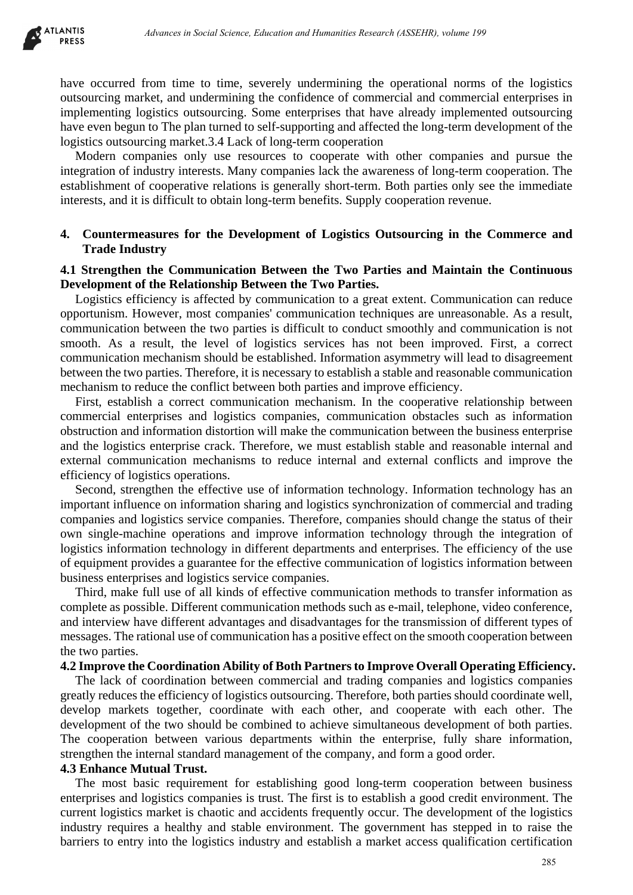

have occurred from time to time, severely undermining the operational norms of the logistics outsourcing market, and undermining the confidence of commercial and commercial enterprises in implementing logistics outsourcing. Some enterprises that have already implemented outsourcing have even begun to The plan turned to self-supporting and affected the long-term development of the logistics outsourcing market.3.4 Lack of long-term cooperation

Modern companies only use resources to cooperate with other companies and pursue the integration of industry interests. Many companies lack the awareness of long-term cooperation. The establishment of cooperative relations is generally short-term. Both parties only see the immediate interests, and it is difficult to obtain long-term benefits. Supply cooperation revenue.

### **4. Countermeasures for the Development of Logistics Outsourcing in the Commerce and Trade Industry**

### **4.1 Strengthen the Communication Between the Two Parties and Maintain the Continuous Development of the Relationship Between the Two Parties.**

Logistics efficiency is affected by communication to a great extent. Communication can reduce opportunism. However, most companies' communication techniques are unreasonable. As a result, communication between the two parties is difficult to conduct smoothly and communication is not smooth. As a result, the level of logistics services has not been improved. First, a correct communication mechanism should be established. Information asymmetry will lead to disagreement between the two parties. Therefore, it is necessary to establish a stable and reasonable communication mechanism to reduce the conflict between both parties and improve efficiency.

First, establish a correct communication mechanism. In the cooperative relationship between commercial enterprises and logistics companies, communication obstacles such as information obstruction and information distortion will make the communication between the business enterprise and the logistics enterprise crack. Therefore, we must establish stable and reasonable internal and external communication mechanisms to reduce internal and external conflicts and improve the efficiency of logistics operations.

Second, strengthen the effective use of information technology. Information technology has an important influence on information sharing and logistics synchronization of commercial and trading companies and logistics service companies. Therefore, companies should change the status of their own single-machine operations and improve information technology through the integration of logistics information technology in different departments and enterprises. The efficiency of the use of equipment provides a guarantee for the effective communication of logistics information between business enterprises and logistics service companies. 285 *Advances in Social Science, Education and Humanities Research (ASSEHR), volume 199*

Third, make full use of all kinds of effective communication methods to transfer information as complete as possible. Different communication methods such as e-mail, telephone, video conference, and interview have different advantages and disadvantages for the transmission of different types of messages. The rational use of communication has a positive effect on the smooth cooperation between the two parties.

#### **4.2 Improve the Coordination Ability of Both Partners to Improve Overall Operating Efficiency.**

The lack of coordination between commercial and trading companies and logistics companies greatly reduces the efficiency of logistics outsourcing. Therefore, both parties should coordinate well, develop markets together, coordinate with each other, and cooperate with each other. The development of the two should be combined to achieve simultaneous development of both parties. The cooperation between various departments within the enterprise, fully share information, strengthen the internal standard management of the company, and form a good order.

#### **4.3 Enhance Mutual Trust.**

The most basic requirement for establishing good long-term cooperation between business enterprises and logistics companies is trust. The first is to establish a good credit environment. The current logistics market is chaotic and accidents frequently occur. The development of the logistics industry requires a healthy and stable environment. The government has stepped in to raise the barriers to entry into the logistics industry and establish a market access qualification certification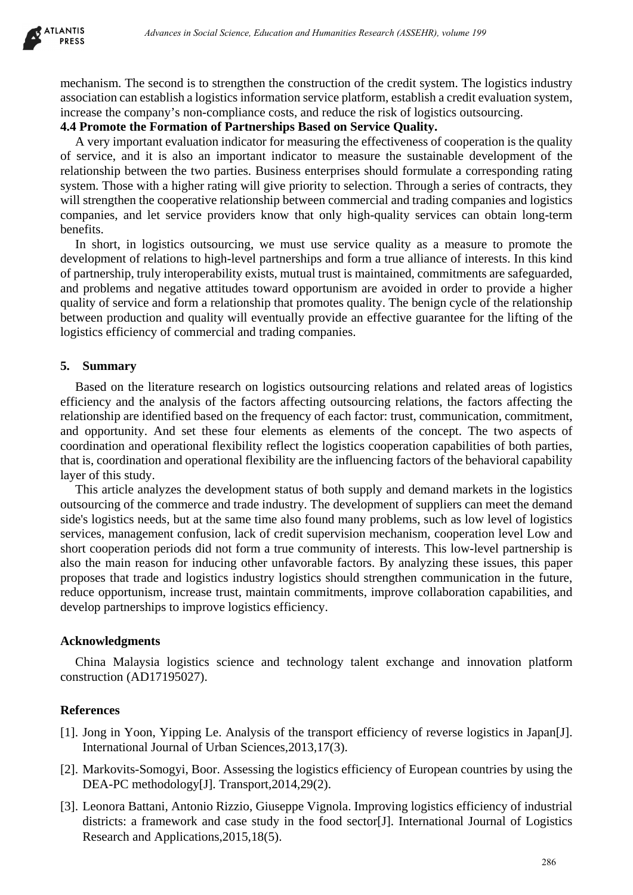

mechanism. The second is to strengthen the construction of the credit system. The logistics industry association can establish a logistics information service platform, establish a credit evaluation system, increase the company's non-compliance costs, and reduce the risk of logistics outsourcing.

### **4.4 Promote the Formation of Partnerships Based on Service Quality.**

A very important evaluation indicator for measuring the effectiveness of cooperation is the quality of service, and it is also an important indicator to measure the sustainable development of the relationship between the two parties. Business enterprises should formulate a corresponding rating system. Those with a higher rating will give priority to selection. Through a series of contracts, they will strengthen the cooperative relationship between commercial and trading companies and logistics companies, and let service providers know that only high-quality services can obtain long-term benefits.

In short, in logistics outsourcing, we must use service quality as a measure to promote the development of relations to high-level partnerships and form a true alliance of interests. In this kind of partnership, truly interoperability exists, mutual trust is maintained, commitments are safeguarded, and problems and negative attitudes toward opportunism are avoided in order to provide a higher quality of service and form a relationship that promotes quality. The benign cycle of the relationship between production and quality will eventually provide an effective guarantee for the lifting of the logistics efficiency of commercial and trading companies.

### **5. Summary**

Based on the literature research on logistics outsourcing relations and related areas of logistics efficiency and the analysis of the factors affecting outsourcing relations, the factors affecting the relationship are identified based on the frequency of each factor: trust, communication, commitment, and opportunity. And set these four elements as elements of the concept. The two aspects of coordination and operational flexibility reflect the logistics cooperation capabilities of both parties, that is, coordination and operational flexibility are the influencing factors of the behavioral capability layer of this study.

This article analyzes the development status of both supply and demand markets in the logistics outsourcing of the commerce and trade industry. The development of suppliers can meet the demand side's logistics needs, but at the same time also found many problems, such as low level of logistics services, management confusion, lack of credit supervision mechanism, cooperation level Low and short cooperation periods did not form a true community of interests. This low-level partnership is also the main reason for inducing other unfavorable factors. By analyzing these issues, this paper proposes that trade and logistics industry logistics should strengthen communication in the future, reduce opportunism, increase trust, maintain commitments, improve collaboration capabilities, and develop partnerships to improve logistics efficiency. *Advances in Social Science, Education and Humanities Research (ASSEHR)*. Oneme 199<br>
second is to strengthen the construction of the credit system. The logistics induction<br>associal a logistics information service plation,

## **Acknowledgments**

China Malaysia logistics science and technology talent exchange and innovation platform construction (AD17195027).

## **References**

- [1]. Jong in Yoon, Yipping Le. Analysis of the transport efficiency of reverse logistics in Japan[J]. International Journal of Urban Sciences,2013,17(3).
- [2]. Markovits-Somogyi, Boor. Assessing the logistics efficiency of European countries by using the DEA-PC methodology[J]. Transport, 2014, 29(2).
- [3]. Leonora Battani, Antonio Rizzio, Giuseppe Vignola. Improving logistics efficiency of industrial districts: a framework and case study in the food sector[J]. International Journal of Logistics Research and Applications,2015,18(5).